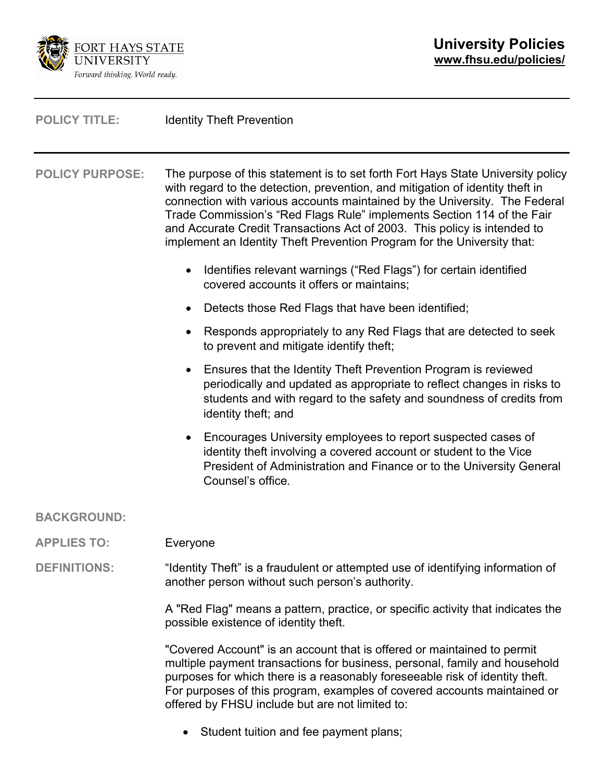

| <b>POLICY TITLE:</b>   | <b>Identity Theft Prevention</b>                                                                                                                                                                                                                                                                                                                                                                                                                                                |
|------------------------|---------------------------------------------------------------------------------------------------------------------------------------------------------------------------------------------------------------------------------------------------------------------------------------------------------------------------------------------------------------------------------------------------------------------------------------------------------------------------------|
| <b>POLICY PURPOSE:</b> | The purpose of this statement is to set forth Fort Hays State University policy<br>with regard to the detection, prevention, and mitigation of identity theft in<br>connection with various accounts maintained by the University. The Federal<br>Trade Commission's "Red Flags Rule" implements Section 114 of the Fair<br>and Accurate Credit Transactions Act of 2003. This policy is intended to<br>implement an Identity Theft Prevention Program for the University that: |
|                        | Identifies relevant warnings ("Red Flags") for certain identified<br>$\bullet$<br>covered accounts it offers or maintains;                                                                                                                                                                                                                                                                                                                                                      |
|                        | Detects those Red Flags that have been identified;<br>$\bullet$                                                                                                                                                                                                                                                                                                                                                                                                                 |
|                        | Responds appropriately to any Red Flags that are detected to seek<br>$\bullet$<br>to prevent and mitigate identify theft;                                                                                                                                                                                                                                                                                                                                                       |
|                        | Ensures that the Identity Theft Prevention Program is reviewed<br>periodically and updated as appropriate to reflect changes in risks to<br>students and with regard to the safety and soundness of credits from<br>identity theft; and                                                                                                                                                                                                                                         |
|                        | Encourages University employees to report suspected cases of<br>identity theft involving a covered account or student to the Vice<br>President of Administration and Finance or to the University General<br>Counsel's office.                                                                                                                                                                                                                                                  |
| <b>BACKGROUND:</b>     |                                                                                                                                                                                                                                                                                                                                                                                                                                                                                 |
| <b>APPLIES TO:</b>     | Everyone                                                                                                                                                                                                                                                                                                                                                                                                                                                                        |
| <b>DEFINITIONS:</b>    | "Identity Theft" is a fraudulent or attempted use of identifying information of<br>another person without such person's authority.                                                                                                                                                                                                                                                                                                                                              |
|                        | A "Red Flag" means a pattern, practice, or specific activity that indicates the                                                                                                                                                                                                                                                                                                                                                                                                 |

"Covered Account" is an account that is offered or maintained to permit multiple payment transactions for business, personal, family and household purposes for which there is a reasonably foreseeable risk of identity theft. For purposes of this program, examples of covered accounts maintained or offered by FHSU include but are not limited to:

• Student tuition and fee payment plans;

possible existence of identity theft.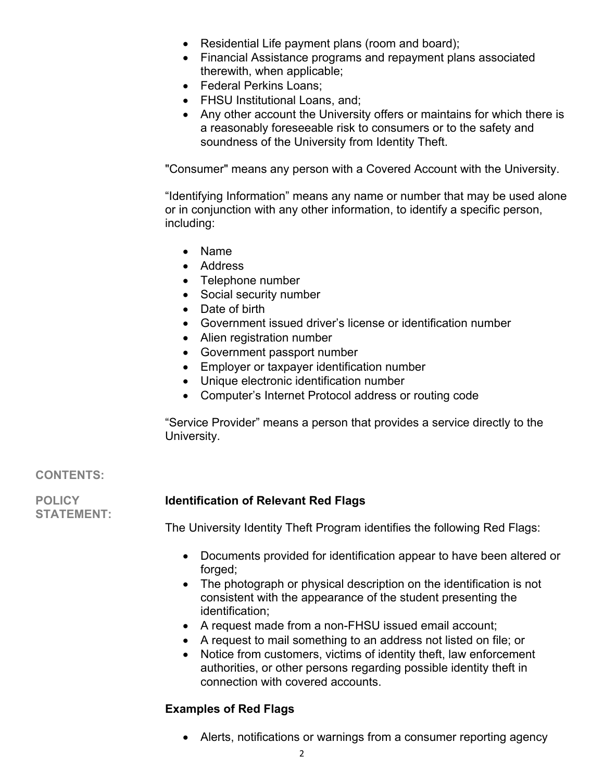- Residential Life payment plans (room and board);
- Financial Assistance programs and repayment plans associated therewith, when applicable;
- Federal Perkins Loans;
- FHSU Institutional Loans, and;
- Any other account the University offers or maintains for which there is a reasonably foreseeable risk to consumers or to the safety and soundness of the University from Identity Theft.

"Consumer" means any person with a Covered Account with the University.

"Identifying Information" means any name or number that may be used alone or in conjunction with any other information, to identify a specific person, including:

- Name
- Address
- Telephone number
- Social security number
- Date of birth
- Government issued driver's license or identification number
- Alien registration number
- Government passport number
- Employer or taxpayer identification number
- Unique electronic identification number
- Computer's Internet Protocol address or routing code

"Service Provider" means a person that provides a service directly to the University.

## **CONTENTS:**

**POLICY STATEMENT:**

## **Identification of Relevant Red Flags**

The University Identity Theft Program identifies the following Red Flags:

- Documents provided for identification appear to have been altered or forged;
- The photograph or physical description on the identification is not consistent with the appearance of the student presenting the identification;
- A request made from a non-FHSU issued email account;
- A request to mail something to an address not listed on file; or
- Notice from customers, victims of identity theft, law enforcement authorities, or other persons regarding possible identity theft in connection with covered accounts.

# **Examples of Red Flags**

• Alerts, notifications or warnings from a consumer reporting agency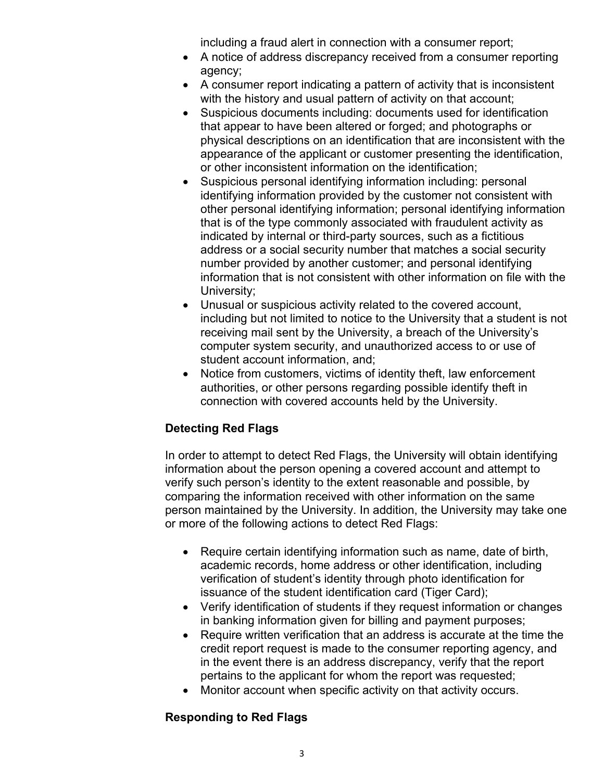including a fraud alert in connection with a consumer report;

- A notice of address discrepancy received from a consumer reporting agency;
- A consumer report indicating a pattern of activity that is inconsistent with the history and usual pattern of activity on that account;
- Suspicious documents including: documents used for identification that appear to have been altered or forged; and photographs or physical descriptions on an identification that are inconsistent with the appearance of the applicant or customer presenting the identification, or other inconsistent information on the identification;
- Suspicious personal identifying information including: personal identifying information provided by the customer not consistent with other personal identifying information; personal identifying information that is of the type commonly associated with fraudulent activity as indicated by internal or third-party sources, such as a fictitious address or a social security number that matches a social security number provided by another customer; and personal identifying information that is not consistent with other information on file with the University;
- Unusual or suspicious activity related to the covered account, including but not limited to notice to the University that a student is not receiving mail sent by the University, a breach of the University's computer system security, and unauthorized access to or use of student account information, and;
- Notice from customers, victims of identity theft, law enforcement authorities, or other persons regarding possible identify theft in connection with covered accounts held by the University.

# **Detecting Red Flags**

In order to attempt to detect Red Flags, the University will obtain identifying information about the person opening a covered account and attempt to verify such person's identity to the extent reasonable and possible, by comparing the information received with other information on the same person maintained by the University. In addition, the University may take one or more of the following actions to detect Red Flags:

- Require certain identifying information such as name, date of birth, academic records, home address or other identification, including verification of student's identity through photo identification for issuance of the student identification card (Tiger Card);
- Verify identification of students if they request information or changes in banking information given for billing and payment purposes;
- Require written verification that an address is accurate at the time the credit report request is made to the consumer reporting agency, and in the event there is an address discrepancy, verify that the report pertains to the applicant for whom the report was requested;
- Monitor account when specific activity on that activity occurs.

## **Responding to Red Flags**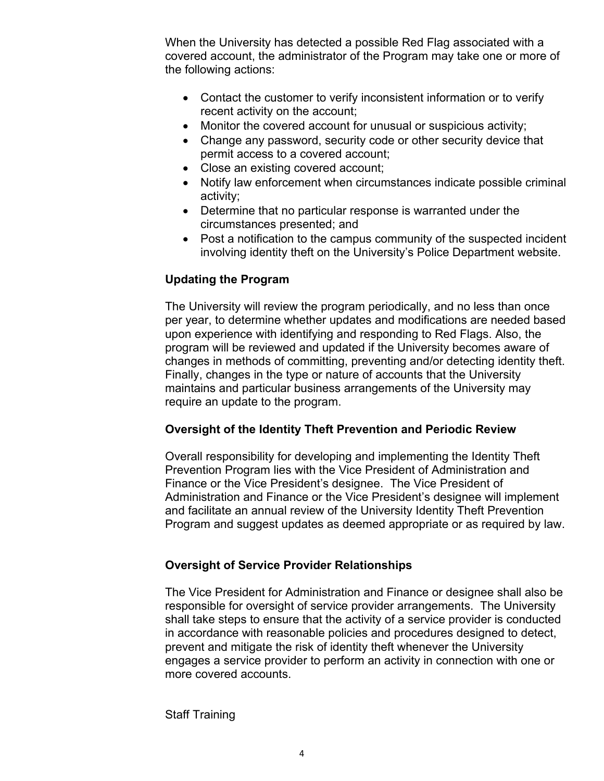When the University has detected a possible Red Flag associated with a covered account, the administrator of the Program may take one or more of the following actions:

- Contact the customer to verify inconsistent information or to verify recent activity on the account;
- Monitor the covered account for unusual or suspicious activity;
- Change any password, security code or other security device that permit access to a covered account;
- Close an existing covered account;
- Notify law enforcement when circumstances indicate possible criminal activity;
- Determine that no particular response is warranted under the circumstances presented; and
- Post a notification to the campus community of the suspected incident involving identity theft on the University's Police Department website.

## **Updating the Program**

The University will review the program periodically, and no less than once per year, to determine whether updates and modifications are needed based upon experience with identifying and responding to Red Flags. Also, the program will be reviewed and updated if the University becomes aware of changes in methods of committing, preventing and/or detecting identity theft. Finally, changes in the type or nature of accounts that the University maintains and particular business arrangements of the University may require an update to the program.

## **Oversight of the Identity Theft Prevention and Periodic Review**

Overall responsibility for developing and implementing the Identity Theft Prevention Program lies with the Vice President of Administration and Finance or the Vice President's designee. The Vice President of Administration and Finance or the Vice President's designee will implement and facilitate an annual review of the University Identity Theft Prevention Program and suggest updates as deemed appropriate or as required by law.

## **Oversight of Service Provider Relationships**

The Vice President for Administration and Finance or designee shall also be responsible for oversight of service provider arrangements. The University shall take steps to ensure that the activity of a service provider is conducted in accordance with reasonable policies and procedures designed to detect, prevent and mitigate the risk of identity theft whenever the University engages a service provider to perform an activity in connection with one or more covered accounts.

#### Staff Training